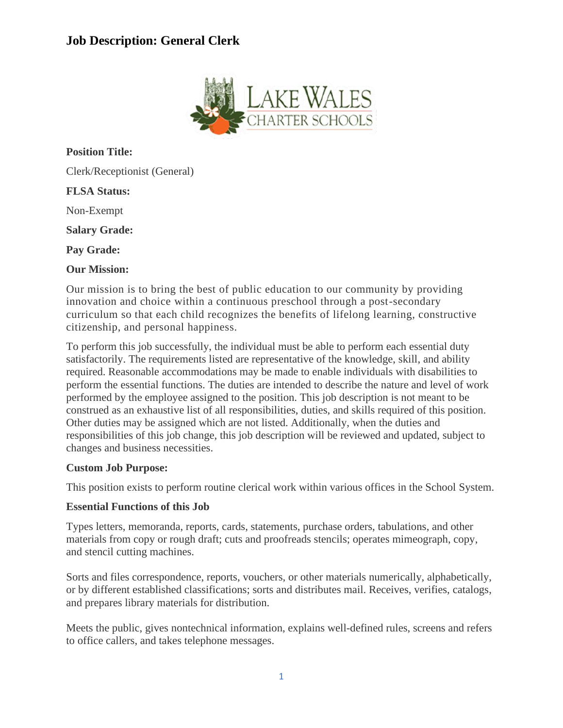# **Job Description: General Clerk**



**Position Title:** Clerk/Receptionist (General) **FLSA Status:** Non-Exempt **Salary Grade: Pay Grade: Our Mission:**

Our mission is to bring the best of public education to our community by providing innovation and choice within a continuous preschool through a post-secondary curriculum so that each child recognizes the benefits of lifelong learning, constructive citizenship, and personal happiness.

To perform this job successfully, the individual must be able to perform each essential duty satisfactorily. The requirements listed are representative of the knowledge, skill, and ability required. Reasonable accommodations may be made to enable individuals with disabilities to perform the essential functions. The duties are intended to describe the nature and level of work performed by the employee assigned to the position. This job description is not meant to be construed as an exhaustive list of all responsibilities, duties, and skills required of this position. Other duties may be assigned which are not listed. Additionally, when the duties and responsibilities of this job change, this job description will be reviewed and updated, subject to changes and business necessities.

## **Custom Job Purpose:**

This position exists to perform routine clerical work within various offices in the School System.

#### **Essential Functions of this Job**

Types letters, memoranda, reports, cards, statements, purchase orders, tabulations, and other materials from copy or rough draft; cuts and proofreads stencils; operates mimeograph, copy, and stencil cutting machines.

Sorts and files correspondence, reports, vouchers, or other materials numerically, alphabetically, or by different established classifications; sorts and distributes mail. Receives, verifies, catalogs, and prepares library materials for distribution.

Meets the public, gives nontechnical information, explains well-defined rules, screens and refers to office callers, and takes telephone messages.